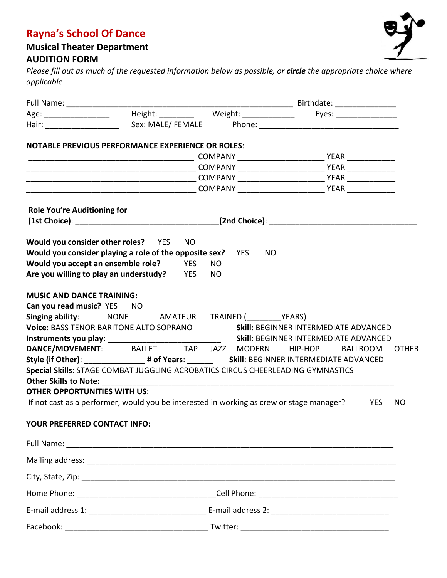## **Rayna's School Of Dance**

## **Musical Theater Department AUDITION FORM**

*Please fill out as much of the requested information below as possible, or circle the appropriate choice where applicable* 

|                                                                                                                         |  |                         |  |           | Birthdate: ________________                  |            |              |
|-------------------------------------------------------------------------------------------------------------------------|--|-------------------------|--|-----------|----------------------------------------------|------------|--------------|
| Age: __________________   Height: __________  Weight: ______________  Eyes: ________________                            |  |                         |  |           |                                              |            |              |
|                                                                                                                         |  |                         |  |           |                                              |            |              |
| <b>NOTABLE PREVIOUS PERFORMANCE EXPERIENCE OR ROLES:</b>                                                                |  |                         |  |           |                                              |            |              |
|                                                                                                                         |  |                         |  |           |                                              |            |              |
|                                                                                                                         |  |                         |  |           |                                              |            |              |
|                                                                                                                         |  |                         |  |           |                                              |            |              |
|                                                                                                                         |  |                         |  |           |                                              |            |              |
| <b>Role You're Auditioning for</b>                                                                                      |  |                         |  |           |                                              |            |              |
|                                                                                                                         |  |                         |  |           |                                              |            |              |
| Would you consider other roles? YES                                                                                     |  | <b>NO</b>               |  |           |                                              |            |              |
| Would you consider playing a role of the opposite sex? YES                                                              |  |                         |  | <b>NO</b> |                                              |            |              |
| Would you accept an ensemble role?                                                                                      |  | <b>YES</b><br><b>NO</b> |  |           |                                              |            |              |
| Are you willing to play an understudy?                                                                                  |  | YES<br>NO.              |  |           |                                              |            |              |
| <b>MUSIC AND DANCE TRAINING:</b>                                                                                        |  |                         |  |           |                                              |            |              |
| Can you read music? YES NO                                                                                              |  |                         |  |           |                                              |            |              |
| Singing ability: MONE AMATEUR TRAINED (YEARS)                                                                           |  |                         |  |           |                                              |            |              |
| Voice: BASS TENOR BARITONE ALTO SOPRANO                                                                                 |  |                         |  |           | <b>Skill: BEGINNER INTERMEDIATE ADVANCED</b> |            |              |
|                                                                                                                         |  |                         |  |           |                                              |            |              |
| DANCE/MOVEMENT: BALLET TAP JAZZ MODERN                                                                                  |  |                         |  |           | HIP-HOP                                      | BALLROOM   | <b>OTHER</b> |
| Style (if Other): __________________# of Years: _________________________________ Skill: BEGINNER INTERMEDIATE ADVANCED |  |                         |  |           |                                              |            |              |
| Special Skills: STAGE COMBAT JUGGLING ACROBATICS CIRCUS CHEERLEADING GYMNASTICS                                         |  |                         |  |           |                                              |            |              |
|                                                                                                                         |  |                         |  |           |                                              |            |              |
| <b>OTHER OPPORTUNITIES WITH US:</b>                                                                                     |  |                         |  |           |                                              |            |              |
| If not cast as a performer, would you be interested in working as crew or stage manager?                                |  |                         |  |           |                                              | <b>YES</b> | NO.          |
| YOUR PREFERRED CONTACT INFO:                                                                                            |  |                         |  |           |                                              |            |              |
|                                                                                                                         |  |                         |  |           |                                              |            |              |
|                                                                                                                         |  |                         |  |           |                                              |            |              |
|                                                                                                                         |  |                         |  |           |                                              |            |              |
|                                                                                                                         |  |                         |  |           |                                              |            |              |
|                                                                                                                         |  |                         |  |           |                                              |            |              |
|                                                                                                                         |  |                         |  |           |                                              |            |              |